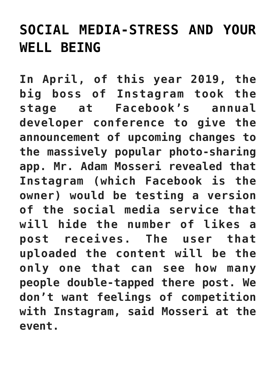## **[SOCIAL MEDIA-STRESS AND YOUR](https://beautiflworid.com/social-media-stress-and-your-well-being) [WELL BEING](https://beautiflworid.com/social-media-stress-and-your-well-being)**

**In April, of this year 2019, the big boss of Instagram took the stage at Facebook's annual developer conference to give the announcement of upcoming changes to the massively popular photo-sharing app. Mr. Adam Mosseri revealed that Instagram (which Facebook is the owner) would be testing a version of the social media service that will hide the number of likes a post receives. The user that uploaded the content will be the only one that can see how many people double-tapped there post. We don't want feelings of competition with Instagram, said Mosseri at the event.**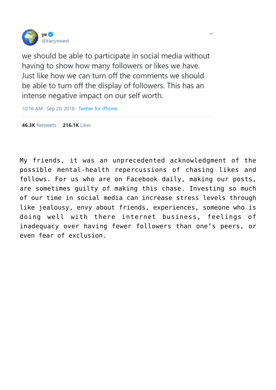

we should be able to participate in social media without having to show how many followers or likes we have. Just like how we can turn off the comments we should be able to turn off the display of followers. This has an intense negative impact on our self worth.

10:16 AM · Sep 20, 2018 · Twitter for iPhone

46.3K Retweets 216.1K Likes

My friends, it was an unprecedented acknowledgment of the possible mental-health repercussions of chasing likes and follows. For us who are on Facebook daily, making our posts, are sometimes guilty of making this chase. Investing so much of our time in social media can increase stress levels through like jealousy, envy about friends, experiences, someone who is doing well with there internet business, feelings of inadequacy over having fewer followers than one's peers, or even fear of exclusion.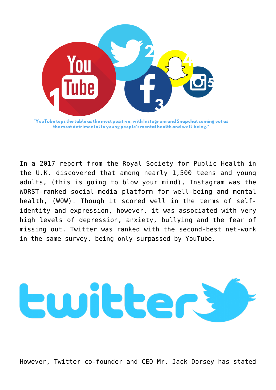

In a 2017 report from the Royal Society for Public Health in the U.K. discovered that among nearly 1,500 teens and young adults, (this is going to blow your mind), Instagram was the WORST-ranked social-media platform for well-being and mental health, (WOW). Though it scored well in the terms of selfidentity and expression, however, it was associated with very high levels of depression, anxiety, bullying and the fear of missing out. Twitter was ranked with the second-best net-work in the same survey, being only surpassed by YouTube.



However, Twitter co-founder and CEO Mr. Jack Dorsey has stated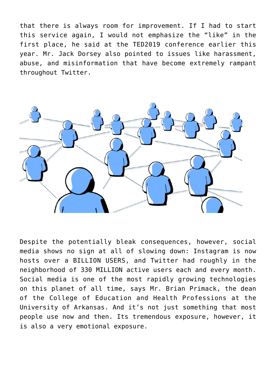that there is always room for improvement. If I had to start this service again, I would not emphasize the "like" in the first place, he said at the TED2019 conference earlier this year. Mr. Jack Dorsey also pointed to issues like harassment, abuse, and misinformation that have become extremely rampant throughout Twitter.



Despite the potentially bleak consequences, however, social media shows no sign at all of slowing down: Instagram is now hosts over a BILLION USERS, and Twitter had roughly in the neighborhood of 330 MILLION active users each and every month. Social media is one of the most rapidly growing technologies on this planet of all time, says Mr. Brian Primack, the dean of the College of Education and Health Professions at the University of Arkansas. And it's not just something that most people use now and then. Its tremendous exposure, however, it is also a very emotional exposure.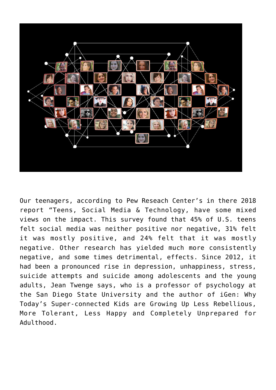

Our teenagers, according to Pew Reseach Center's in there 2018 report "Teens, Social Media & Technology, have some mixed views on the impact. This survey found that 45% of U.S. teens felt social media was neither positive nor negative, 31% felt it was mostly positive, and 24% felt that it was mostly negative. Other research has yielded much more consistently negative, and some times detrimental, effects. Since 2012, it had been a pronounced rise in depression, unhappiness, stress, suicide attempts and suicide among adolescents and the young adults, Jean Twenge says, who is a professor of psychology at the San Diego State University and the author of iGen: Why Today's Super-connected Kids are Growing Up Less Rebellious, More Tolerant, Less Happy and Completely Unprepared for Adulthood.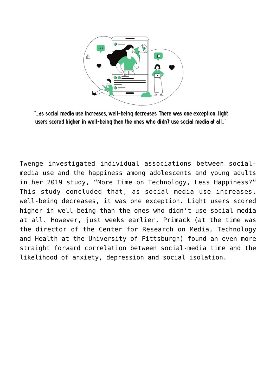

"...as social media use increases, well-being decreases. There was one exception; light users scored higher in well-being than the ones who didn't use social media at all..."

Twenge investigated individual associations between socialmedia use and the happiness among adolescents and young adults in her 2019 study, "More Time on Technology, Less Happiness?" This study concluded that, as social media use increases, well-being decreases, it was one exception. Light users scored higher in well-being than the ones who didn't use social media at all. However, just weeks earlier, Primack (at the time was the director of the Center for Research on Media, Technology and Health at the University of Pittsburgh) found an even more straight forward correlation between social-media time and the likelihood of anxiety, depression and social isolation.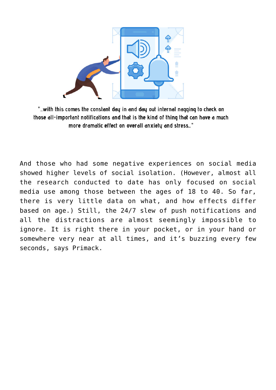

"...with this comes the constant day in and day out internal nagging to check on those all-important notifications and that is the kind of thing that can have a much more dramatic effect on overall anxiety and stress..."

And those who had some negative experiences on social media showed higher levels of social isolation. (However, almost all the research conducted to date has only focused on social media use among those between the ages of 18 to 40. So far, there is very little data on what, and how effects differ based on age.) Still, the 24/7 slew of push notifications and all the distractions are almost seemingly impossible to ignore. It is right there in your pocket, or in your hand or somewhere very near at all times, and it's buzzing every few seconds, says Primack.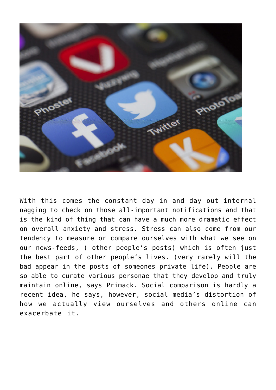

With this comes the constant day in and day out internal nagging to check on those all-important notifications and that is the kind of thing that can have a much more dramatic effect on overall anxiety and stress. Stress can also come from our tendency to measure or compare ourselves with what we see on our news-feeds, ( other people's posts) which is often just the best part of other people's lives. (very rarely will the bad appear in the posts of someones private life). People are so able to curate various personae that they develop and truly maintain online, says Primack. Social comparison is hardly a recent idea, he says, however, social media's distortion of how we actually view ourselves and others online can exacerbate it.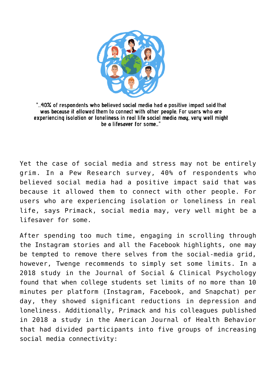

"...40% of respondents who believed social media had a positive impact said that was because it allowed them to connect with other people. For users who are experiencing isolation or loneliness in real life social media may, very well might be a lifesaver for some..."

Yet the case of social media and stress may not be entirely grim. In a Pew Research survey, 40% of respondents who believed social media had a positive impact said that was because it allowed them to connect with other people. For users who are experiencing isolation or loneliness in real life, says Primack, social media may, very well might be a lifesaver for some.

After spending too much time, engaging in scrolling through the Instagram stories and all the Facebook highlights, one may be tempted to remove there selves from the social-media grid, however, Twenge recommends to simply set some limits. In a 2018 study in the Journal of Social & Clinical Psychology found that when college students set limits of no more than 10 minutes per platform (Instagram, Facebook, and Snapchat) per day, they showed significant reductions in depression and loneliness. Additionally, Primack and his colleagues published in 2018 a study in the American Journal of Health Behavior that had divided participants into five groups of increasing social media connectivity: